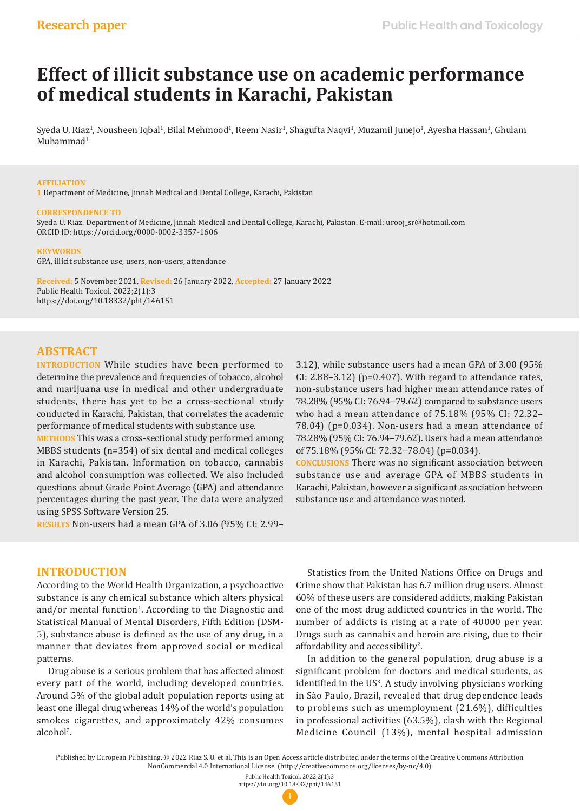# **Effect of illicit substance use on academic performance of medical students in Karachi, Pakistan**

Syeda U. Riaz<sup>i</sup>, Nousheen Iqbal<sup>i</sup>, Bilal Mehmood<sup>i</sup>, Reem Nasir<sup>i</sup>, Shagufta Naqvi<sup>i</sup>, Muzamil Junejo<sup>i</sup>, Ayesha Hassan<sup>i</sup>, Ghulam  $Muhammad<sup>1</sup>$ 

#### **AFFILIATION**

**1** Department of Medicine, Jinnah Medical and Dental College, Karachi, Pakistan

#### **CORRESPONDENCE TO**

Syeda U. Riaz. Department of Medicine, Jinnah Medical and Dental College, Karachi, Pakistan. E-mail: urooj\_sr@hotmail.com ORCID ID: https://orcid.org/0000-0002-3357-1606

#### **KEYWORDS**

GPA, illicit substance use, users, non-users, attendance

**Received:** 5 November 2021, **Revised:** 26 January 2022, **Accepted:** 27 January 2022 Public Health Toxicol. 2022;2(1):3 https://doi.org/10.18332/pht/146151

# **ABSTRACT**

**INTRODUCTION** While studies have been performed to determine the prevalence and frequencies of tobacco, alcohol and marijuana use in medical and other undergraduate students, there has yet to be a cross-sectional study conducted in Karachi, Pakistan, that correlates the academic performance of medical students with substance use.

**METHODS** This was a cross-sectional study performed among MBBS students (n=354) of six dental and medical colleges in Karachi, Pakistan. Information on tobacco, cannabis and alcohol consumption was collected. We also included questions about Grade Point Average (GPA) and attendance percentages during the past year. The data were analyzed using SPSS Software Version 25.

**RESULTS** Non-users had a mean GPA of 3.06 (95% CI: 2.99–

3.12), while substance users had a mean GPA of 3.00 (95% CI: 2.88–3.12) (p=0.407). With regard to attendance rates, non-substance users had higher mean attendance rates of 78.28% (95% CI: 76.94–79.62) compared to substance users who had a mean attendance of 75.18% (95% CI: 72.32– 78.04) (p=0.034). Non-users had a mean attendance of 78.28% (95% CI: 76.94–79.62). Users had a mean attendance of 75.18% (95% CI: 72.32–78.04) (p=0.034).

**CONCLUSIONS** There was no significant association between substance use and average GPA of MBBS students in Karachi, Pakistan, however a significant association between substance use and attendance was noted.

### **INTRODUCTION**

According to the World Health Organization, a psychoactive substance is any chemical substance which alters physical and/or mental function<sup>1</sup>. According to the Diagnostic and Statistical Manual of Mental Disorders, Fifth Edition (DSM-5), substance abuse is defined as the use of any drug, in a manner that deviates from approved social or medical patterns.

Drug abuse is a serious problem that has affected almost every part of the world, including developed countries. Around 5% of the global adult population reports using at least one illegal drug whereas 14% of the world's population smokes cigarettes, and approximately 42% consumes alcohol<sup>2</sup>.

Statistics from the United Nations Office on Drugs and Crime show that Pakistan has 6.7 million drug users. Almost 60% of these users are considered addicts, making Pakistan one of the most drug addicted countries in the world. The number of addicts is rising at a rate of 40000 per year. Drugs such as cannabis and heroin are rising, due to their affordability and accessibility $^2$ .

In addition to the general population, drug abuse is a significant problem for doctors and medical students, as identified in the US<sup>3</sup>. A study involving physicians working in São Paulo, Brazil, revealed that drug dependence leads to problems such as unemployment (21.6%), difficulties in professional activities (63.5%), clash with the Regional Medicine Council (13%), mental hospital admission

Published by European Publishing. © 2022 Riaz S. U. et al. This is an Open Access article distributed under the terms of the Creative Commons Attribution NonCommercial 4.0 International License. (http://creativecommons.org/licenses/by-nc/4.0)

Public Health Toxicol. 2022;2(1):3 https://doi.org/10.18332/pht/146151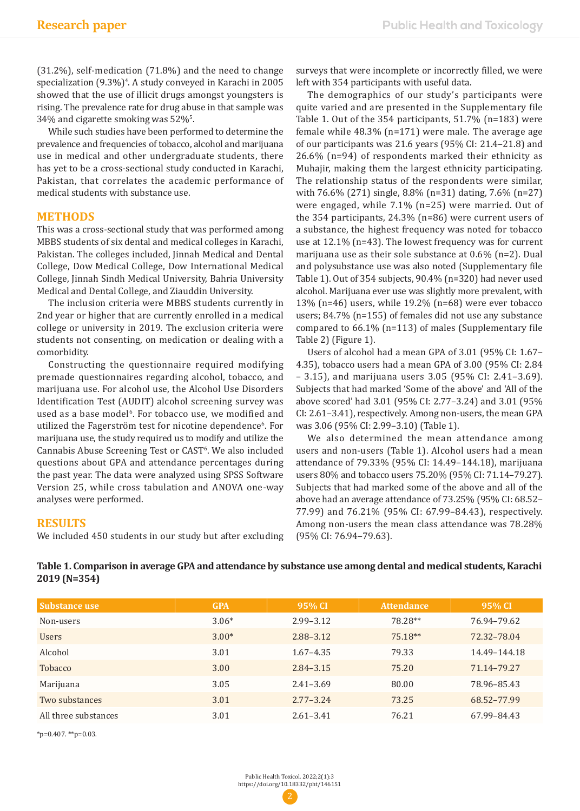(31.2%), self-medication (71.8%) and the need to change specialization (9.3%)4 . A study conveyed in Karachi in 2005 showed that the use of illicit drugs amongst youngsters is rising. The prevalence rate for drug abuse in that sample was  $34\%$  and cigarette smoking was  $52\%$ <sup>5</sup>.

While such studies have been performed to determine the prevalence and frequencies of tobacco, alcohol and marijuana use in medical and other undergraduate students, there has yet to be a cross-sectional study conducted in Karachi, Pakistan, that correlates the academic performance of medical students with substance use.

## **METHODS**

This was a cross-sectional study that was performed among MBBS students of six dental and medical colleges in Karachi, Pakistan. The colleges included, Jinnah Medical and Dental College, Dow Medical College, Dow International Medical College, Jinnah Sindh Medical University, Bahria University Medical and Dental College, and Ziauddin University.

The inclusion criteria were MBBS students currently in 2nd year or higher that are currently enrolled in a medical college or university in 2019. The exclusion criteria were students not consenting, on medication or dealing with a comorbidity.

Constructing the questionnaire required modifying premade questionnaires regarding alcohol, tobacco, and marijuana use. For alcohol use, the Alcohol Use Disorders Identification Test (AUDIT) alcohol screening survey was used as a base model<sup>6</sup>. For tobacco use, we modified and utilized the Fagerström test for nicotine dependence<sup>6</sup>. For marijuana use, the study required us to modify and utilize the Cannabis Abuse Screening Test or CAST6 . We also included questions about GPA and attendance percentages during the past year. The data were analyzed using SPSS Software Version 25, while cross tabulation and ANOVA one-way analyses were performed.

**RESULTS**

We included 450 students in our study but after excluding

surveys that were incomplete or incorrectly filled, we were left with 354 participants with useful data.

The demographics of our study's participants were quite varied and are presented in the Supplementary file Table 1. Out of the 354 participants, 51.7% (n=183) were female while 48.3% (n=171) were male. The average age of our participants was 21.6 years (95% CI: 21.4–21.8) and 26.6% (n=94) of respondents marked their ethnicity as Muhajir, making them the largest ethnicity participating. The relationship status of the respondents were similar, with 76.6% (271) single, 8.8% (n=31) dating, 7.6% (n=27) were engaged, while 7.1% (n=25) were married. Out of the 354 participants, 24.3% (n=86) were current users of a substance, the highest frequency was noted for tobacco use at 12.1% (n=43). The lowest frequency was for current marijuana use as their sole substance at 0.6% (n=2). Dual and polysubstance use was also noted (Supplementary file Table 1). Out of 354 subjects, 90.4% (n=320) had never used alcohol. Marijuana ever use was slightly more prevalent, with 13% (n=46) users, while 19.2% (n=68) were ever tobacco users; 84.7% (n=155) of females did not use any substance compared to 66.1% (n=113) of males (Supplementary file Table 2) (Figure 1).

Users of alcohol had a mean GPA of 3.01 (95% CI: 1.67– 4.35), tobacco users had a mean GPA of 3.00 (95% CI: 2.84 – 3.15), and marijuana users 3.05 (95% CI: 2.41–3.69). Subjects that had marked 'Some of the above' and 'All of the above scored' had 3.01 (95% CI: 2.77–3.24) and 3.01 (95% CI: 2.61–3.41), respectively. Among non-users, the mean GPA was 3.06 (95% CI: 2.99–3.10) (Table 1).

We also determined the mean attendance among users and non-users (Table 1). Alcohol users had a mean attendance of 79.33% (95% CI: 14.49–144.18), marijuana users 80% and tobacco users 75.20% (95% CI: 71.14–79.27). Subjects that had marked some of the above and all of the above had an average attendance of 73.25% (95% CI: 68.52– 77.99) and 76.21% (95% CI: 67.99–84.43), respectively. Among non-users the mean class attendance was 78.28% (95% CI: 76.94–79.63).

| Table 1. Comparison in average GPA and attendance by substance use among dental and medical students, Karachi |
|---------------------------------------------------------------------------------------------------------------|
| $2019(N=354)$                                                                                                 |

| <b>Substance use</b> | <b>GPA</b> | 95% CI        | <b>Attendance</b> | 95% CI       |
|----------------------|------------|---------------|-------------------|--------------|
| Non-users            | $3.06*$    | $2.99 - 3.12$ | 78.28**           | 76.94-79.62  |
| <b>Users</b>         | $3.00*$    | $2.88 - 3.12$ | $75.18**$         | 72.32-78.04  |
| Alcohol              | 3.01       | $1.67 - 4.35$ | 79.33             | 14.49-144.18 |
| <b>Tobacco</b>       | 3.00       | $2.84 - 3.15$ | 75.20             | 71.14-79.27  |
| Marijuana            | 3.05       | $2.41 - 3.69$ | 80.00             | 78.96-85.43  |
| Two substances       | 3.01       | $2.77 - 3.24$ | 73.25             | 68.52-77.99  |
| All three substances | 3.01       | $2.61 - 3.41$ | 76.21             | 67.99-84.43  |

\*p=0.407. \*\*p=0.03.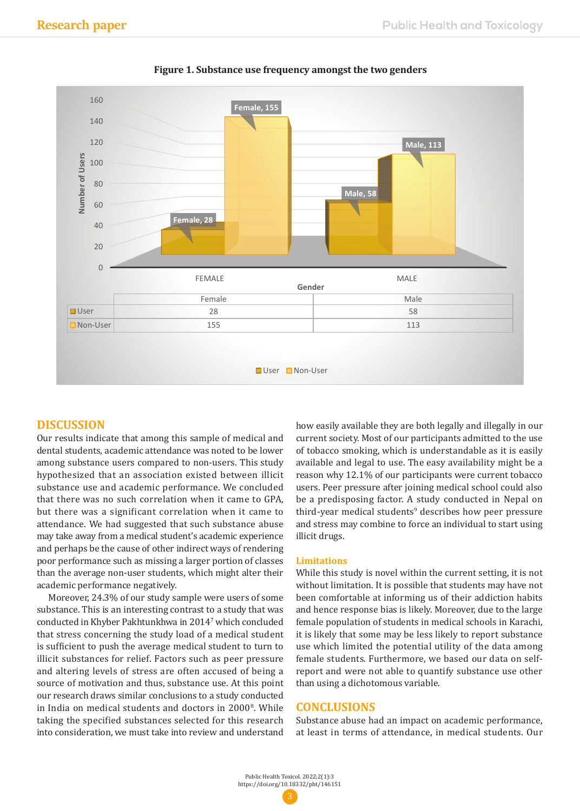

# **Figure 1. Substance use frequency amongst the two genders Figure 1. Substance use frequency amongst the two genders**

# **DISCUSSION**

Our results indicate that among this sample of medical and dental students, academic attendance was noted to be lower among substance users compared to non-users. This study hypothesized that an association existed between illicit substance use and academic performance. We concluded that there was no such correlation when it came to GPA, but there was a significant correlation when it came to attendance. We had suggested that such substance abuse may take away from a medical student's academic experience and perhaps be the cause of other indirect ways of rendering poor performance such as missing a larger portion of classes than the average non-user students, which might alter their academic performance negatively.

Moreover, 24.3% of our study sample were users of some substance. This is an interesting contrast to a study that was conducted in Khyber Pakhtunkhwa in 20147 which concluded that stress concerning the study load of a medical student is sufficient to push the average medical student to turn to illicit substances for relief. Factors such as peer pressure and altering levels of stress are often accused of being a source of motivation and thus, substance use. At this point our research draws similar conclusions to a study conducted in India on medical students and doctors in 20008 . While taking the specified substances selected for this research into consideration, we must take into review and understand

how easily available they are both legally and illegally in our current society. Most of our participants admitted to the use of tobacco smoking, which is understandable as it is easily available and legal to use. The easy availability might be a reason why 12.1% of our participants were current tobacco users. Peer pressure after joining medical school could also be a predisposing factor. A study conducted in Nepal on third-year medical students<sup>9</sup> describes how peer pressure and stress may combine to force an individual to start using illicit drugs.

#### **Limitations**

While this study is novel within the current setting, it is not without limitation. It is possible that students may have not been comfortable at informing us of their addiction habits and hence response bias is likely. Moreover, due to the large female population of students in medical schools in Karachi, it is likely that some may be less likely to report substance use which limited the potential utility of the data among female students. Furthermore, we based our data on selfreport and were not able to quantify substance use other than using a dichotomous variable.

# **CONCLUSIONS**

Substance abuse had an impact on academic performance, at least in terms of attendance, in medical students. Our